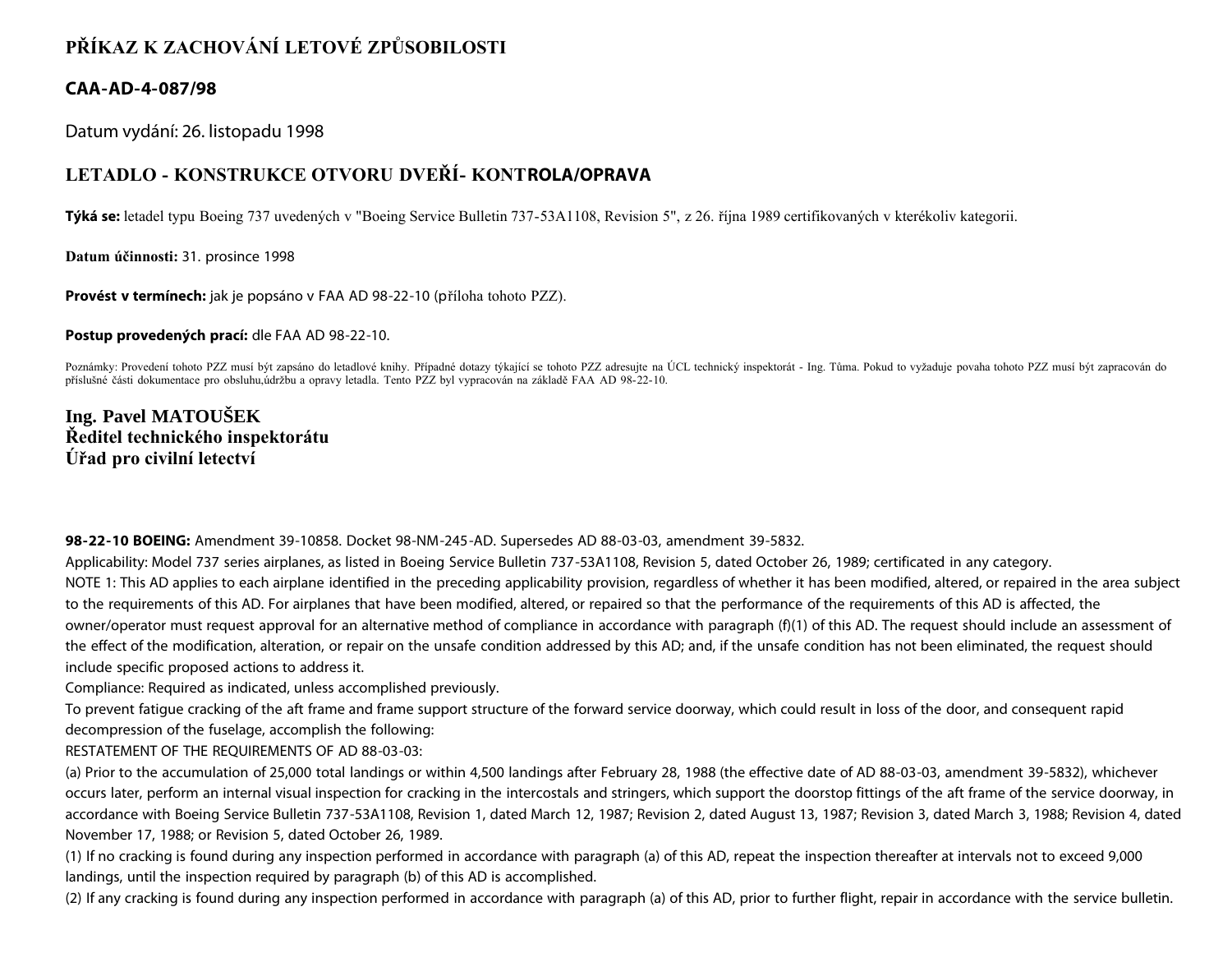## **PŘÍKAZ K ZACHOVÁNÍ LETOVÉ ZPŮSOBILOSTI**

## **CAA-AD-4-087/98**

Datum vydání: 26. listopadu 1998

## **LETADLO - KONSTRUKCE OTVORU DVEŘÍ- KONTROLA/OPRAVA**

**Týká se:** letadel typu Boeing 737 uvedených v "Boeing Service Bulletin 737-53A1108, Revision 5", z 26. října 1989 certifikovaných v kterékoliv kategorii.

**Datum účinnosti:** 31. prosince 1998

**Provést v termínech:** jak je popsáno v FAA AD 98-22-10 (příloha tohoto PZZ).

**Postup provedených prací:** dle FAA AD 98-22-10.

Poznámky: Provedení tohoto PZZ musí být zapsáno do letadlové knihy. Případné dotazy týkající se tohoto PZZ adresujte na ÚCL technický inspektorát - Ing. Tůma. Pokud to vyžaduje povaha tohoto PZZ musí být zapracován do příslušné části dokumentace pro obsluhu,údržbu a opravy letadla. Tento PZZ byl vypracován na základě FAA AD 98-22-10.

**Ing. Pavel MATOUŠEK Ředitel technického inspektorátu Úřad pro civilní letectví**

**98-22-10 BOEING:** Amendment 39-10858. Docket 98-NM-245-AD. Supersedes AD 88-03-03, amendment 39-5832.

Applicability: Model 737 series airplanes, as listed in Boeing Service Bulletin 737-53A1108, Revision 5, dated October 26, 1989; certificated in any category. NOTE 1: This AD applies to each airplane identified in the preceding applicability provision, regardless of whether it has been modified, altered, or repaired in the area subject to the requirements of this AD. For airplanes that have been modified, altered, or repaired so that the performance of the requirements of this AD is affected, the owner/operator must request approval for an alternative method of compliance in accordance with paragraph (f)(1) of this AD. The request should include an assessment of the effect of the modification, alteration, or repair on the unsafe condition addressed by this AD; and, if the unsafe condition has not been eliminated, the request should include specific proposed actions to address it.

Compliance: Required as indicated, unless accomplished previously.

To prevent fatigue cracking of the aft frame and frame support structure of the forward service doorway, which could result in loss of the door, and consequent rapid decompression of the fuselage, accomplish the following:

RESTATEMENT OF THE REQUIREMENTS OF AD 88-03-03:

(a) Prior to the accumulation of 25,000 total landings or within 4,500 landings after February 28, 1988 (the effective date of AD 88-03-03, amendment 39-5832), whichever occurs later, perform an internal visual inspection for cracking in the intercostals and stringers, which support the doorstop fittings of the aft frame of the service doorway, in accordance with Boeing Service Bulletin 737-53A1108, Revision 1, dated March 12, 1987; Revision 2, dated August 13, 1987; Revision 3, dated March 3, 1988; Revision 4, dated November 17, 1988; or Revision 5, dated October 26, 1989.

(1) If no cracking is found during any inspection performed in accordance with paragraph (a) of this AD, repeat the inspection thereafter at intervals not to exceed 9,000 landings, until the inspection required by paragraph (b) of this AD is accomplished.

(2) If any cracking is found during any inspection performed in accordance with paragraph (a) of this AD, prior to further flight, repair in accordance with the service bulletin.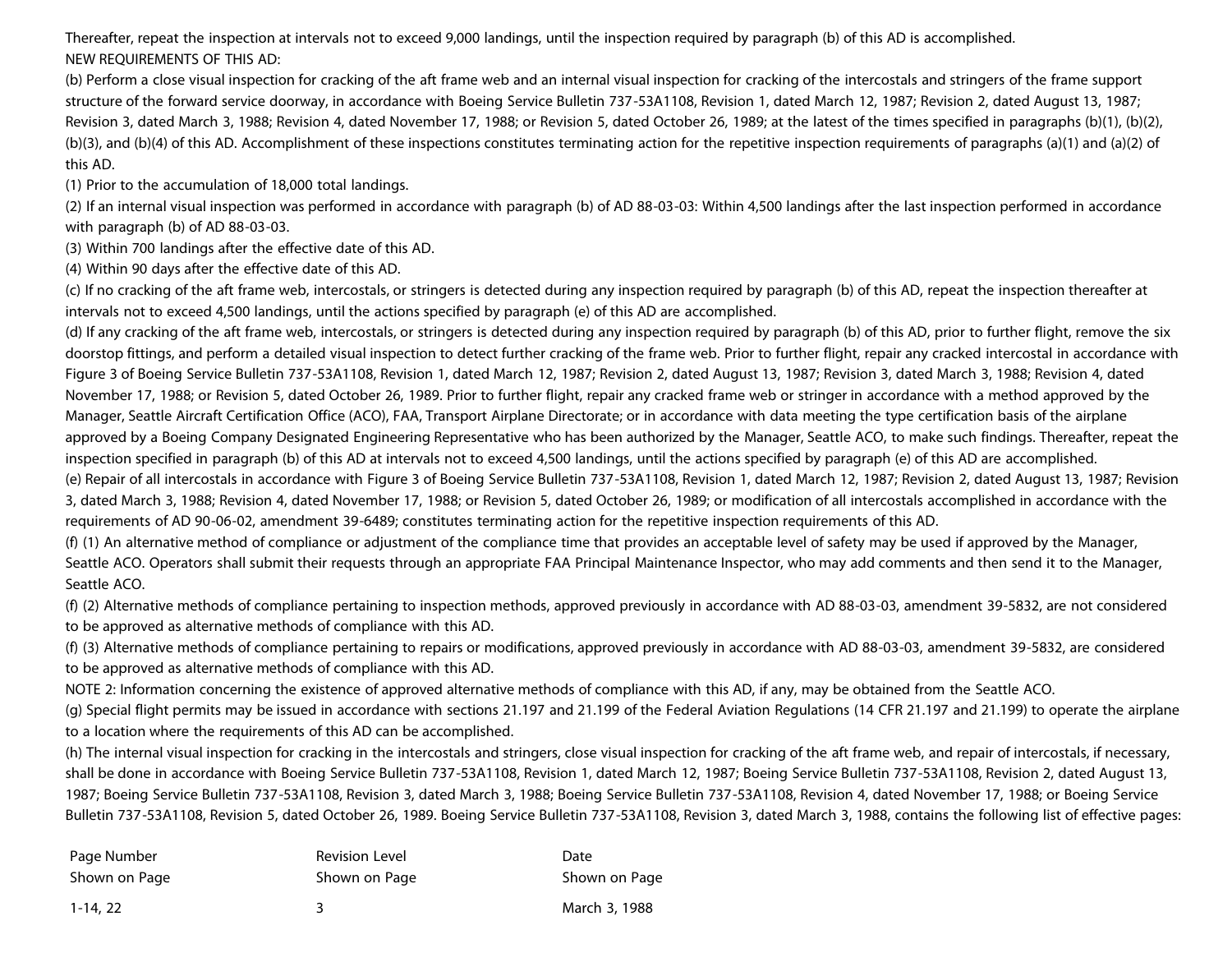Thereafter, repeat the inspection at intervals not to exceed 9,000 landings, until the inspection required by paragraph (b) of this AD is accomplished. NEW REQUIREMENTS OF THIS AD:

(b) Perform a close visual inspection for cracking of the aft frame web and an internal visual inspection for cracking of the intercostals and stringers of the frame support structure of the forward service doorway, in accordance with Boeing Service Bulletin 737-53A1108, Revision 1, dated March 12, 1987; Revision 2, dated August 13, 1987; Revision 3, dated March 3, 1988; Revision 4, dated November 17, 1988; or Revision 5, dated October 26, 1989; at the latest of the times specified in paragraphs (b)(1), (b)(2), (b)(3), and (b)(4) of this AD. Accomplishment of these inspections constitutes terminating action for the repetitive inspection requirements of paragraphs (a)(1) and (a)(2) of this AD.

(1) Prior to the accumulation of 18,000 total landings.

(2) If an internal visual inspection was performed in accordance with paragraph (b) of AD 88-03-03: Within 4,500 landings after the last inspection performed in accordance with paragraph (b) of AD 88-03-03.

(3) Within 700 landings after the effective date of this AD.

(4) Within 90 days after the effective date of this AD.

(c) If no cracking of the aft frame web, intercostals, or stringers is detected during any inspection required by paragraph (b) of this AD, repeat the inspection thereafter at intervals not to exceed 4,500 landings, until the actions specified by paragraph (e) of this AD are accomplished.

(d) If any cracking of the aft frame web, intercostals, or stringers is detected during any inspection required by paragraph (b) of this AD, prior to further flight, remove the six doorstop fittings, and perform a detailed visual inspection to detect further cracking of the frame web. Prior to further flight, repair any cracked intercostal in accordance with Figure 3 of Boeing Service Bulletin 737-53A1108, Revision 1, dated March 12, 1987; Revision 2, dated August 13, 1987; Revision 3, dated March 3, 1988; Revision 4, dated November 17, 1988; or Revision 5, dated October 26, 1989. Prior to further flight, repair any cracked frame web or stringer in accordance with a method approved by the Manager, Seattle Aircraft Certification Office (ACO), FAA, Transport Airplane Directorate; or in accordance with data meeting the type certification basis of the airplane approved by a Boeing Company Designated Engineering Representative who has been authorized by the Manager, Seattle ACO, to make such findings. Thereafter, repeat the inspection specified in paragraph (b) of this AD at intervals not to exceed 4,500 landings, until the actions specified by paragraph (e) of this AD are accomplished. (e) Repair of all intercostals in accordance with Figure 3 of Boeing Service Bulletin 737-53A1108, Revision 1, dated March 12, 1987; Revision 2, dated August 13, 1987; Revision 3, dated March 3, 1988; Revision 4, dated November 17, 1988; or Revision 5, dated October 26, 1989; or modification of all intercostals accomplished in accordance with the

requirements of AD 90-06-02, amendment 39-6489; constitutes terminating action for the repetitive inspection requirements of this AD.

(f) (1) An alternative method of compliance or adjustment of the compliance time that provides an acceptable level of safety may be used if approved by the Manager, Seattle ACO. Operators shall submit their requests through an appropriate FAA Principal Maintenance Inspector, who may add comments and then send it to the Manager, Seattle ACO.

(f) (2) Alternative methods of compliance pertaining to inspection methods, approved previously in accordance with AD 88-03-03, amendment 39-5832, are not considered to be approved as alternative methods of compliance with this AD.

(f) (3) Alternative methods of compliance pertaining to repairs or modifications, approved previously in accordance with AD 88-03-03, amendment 39-5832, are considered to be approved as alternative methods of compliance with this AD.

NOTE 2: Information concerning the existence of approved alternative methods of compliance with this AD, if any, may be obtained from the Seattle ACO.

(g) Special flight permits may be issued in accordance with sections 21.197 and 21.199 of the Federal Aviation Regulations (14 CFR 21.197 and 21.199) to operate the airplane to a location where the requirements of this AD can be accomplished.

(h) The internal visual inspection for cracking in the intercostals and stringers, close visual inspection for cracking of the aft frame web, and repair of intercostals, if necessary, shall be done in accordance with Boeing Service Bulletin 737-53A1108, Revision 1, dated March 12, 1987; Boeing Service Bulletin 737-53A1108, Revision 2, dated August 13, 1987; Boeing Service Bulletin 737-53A1108, Revision 3, dated March 3, 1988; Boeing Service Bulletin 737-53A1108, Revision 4, dated November 17, 1988; or Boeing Service Bulletin 737-53A1108, Revision 5, dated October 26, 1989. Boeing Service Bulletin 737-53A1108, Revision 3, dated March 3, 1988, contains the following list of effective pages:

| Page Number   | <b>Revision Level</b> | Date          |
|---------------|-----------------------|---------------|
| Shown on Page | Shown on Page         | Shown on Page |
| 1-14, 22      |                       | March 3, 1988 |